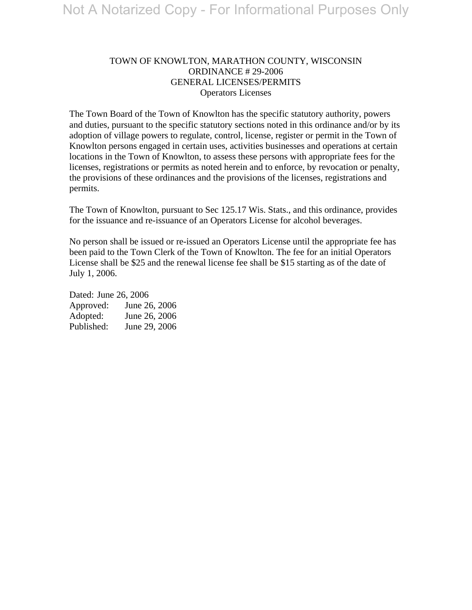# TOWN OF KNOWLTON, MARATHON COUNTY, WISCONSIN ORDINANCE # 29-2006 GENERAL LICENSES/PERMITS Operators Licenses

The Town Board of the Town of Knowlton has the specific statutory authority, powers and duties, pursuant to the specific statutory sections noted in this ordinance and/or by its adoption of village powers to regulate, control, license, register or permit in the Town of Knowlton persons engaged in certain uses, activities businesses and operations at certain locations in the Town of Knowlton, to assess these persons with appropriate fees for the licenses, registrations or permits as noted herein and to enforce, by revocation or penalty, the provisions of these ordinances and the provisions of the licenses, registrations and permits.

The Town of Knowlton, pursuant to Sec 125.17 Wis. Stats., and this ordinance, provides for the issuance and re-issuance of an Operators License for alcohol beverages.

No person shall be issued or re-issued an Operators License until the appropriate fee has been paid to the Town Clerk of the Town of Knowlton. The fee for an initial Operators License shall be \$25 and the renewal license fee shall be \$15 starting as of the date of July 1, 2006.

Dated: June 26, 2006 Approved: June 26, 2006 Adopted: June 26, 2006 Published: June 29, 2006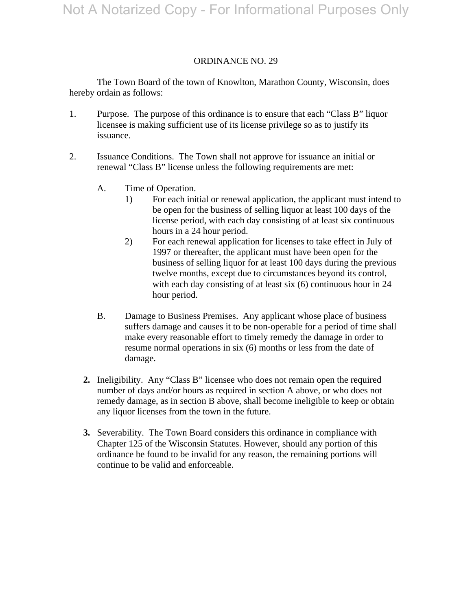## ORDINANCE NO. 29

 The Town Board of the town of Knowlton, Marathon County, Wisconsin, does hereby ordain as follows:

- 1. Purpose. The purpose of this ordinance is to ensure that each "Class B" liquor licensee is making sufficient use of its license privilege so as to justify its issuance.
- 2. Issuance Conditions. The Town shall not approve for issuance an initial or renewal "Class B" license unless the following requirements are met:
	- A. Time of Operation.
		- 1) For each initial or renewal application, the applicant must intend to be open for the business of selling liquor at least 100 days of the license period, with each day consisting of at least six continuous hours in a 24 hour period.
		- 2) For each renewal application for licenses to take effect in July of 1997 or thereafter, the applicant must have been open for the business of selling liquor for at least 100 days during the previous twelve months, except due to circumstances beyond its control, with each day consisting of at least six (6) continuous hour in 24 hour period.
	- B. Damage to Business Premises. Any applicant whose place of business suffers damage and causes it to be non-operable for a period of time shall make every reasonable effort to timely remedy the damage in order to resume normal operations in six (6) months or less from the date of damage.
	- **2.** Ineligibility. Any "Class B" licensee who does not remain open the required number of days and/or hours as required in section A above, or who does not remedy damage, as in section B above, shall become ineligible to keep or obtain any liquor licenses from the town in the future.
	- **3.** Severability. The Town Board considers this ordinance in compliance with Chapter 125 of the Wisconsin Statutes. However, should any portion of this ordinance be found to be invalid for any reason, the remaining portions will continue to be valid and enforceable.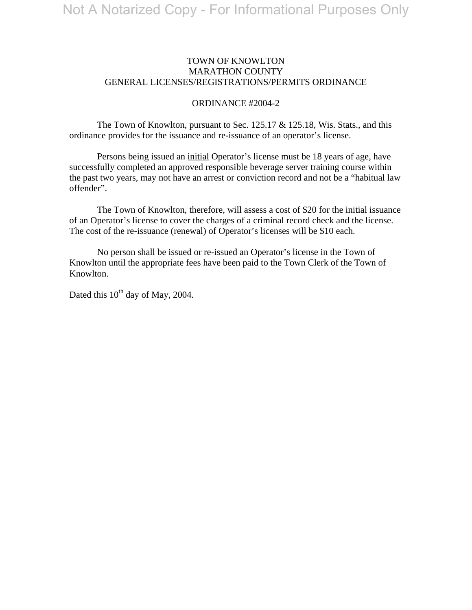### TOWN OF KNOWLTON MARATHON COUNTY GENERAL LICENSES/REGISTRATIONS/PERMITS ORDINANCE

#### ORDINANCE #2004-2

The Town of Knowlton, pursuant to Sec.  $125.17 \& 125.18$ , Wis. Stats., and this ordinance provides for the issuance and re-issuance of an operator's license.

 Persons being issued an initial Operator's license must be 18 years of age, have successfully completed an approved responsible beverage server training course within the past two years, may not have an arrest or conviction record and not be a "habitual law offender".

 The Town of Knowlton, therefore, will assess a cost of \$20 for the initial issuance of an Operator's license to cover the charges of a criminal record check and the license. The cost of the re-issuance (renewal) of Operator's licenses will be \$10 each.

 No person shall be issued or re-issued an Operator's license in the Town of Knowlton until the appropriate fees have been paid to the Town Clerk of the Town of Knowlton.

Dated this  $10^{th}$  day of May, 2004.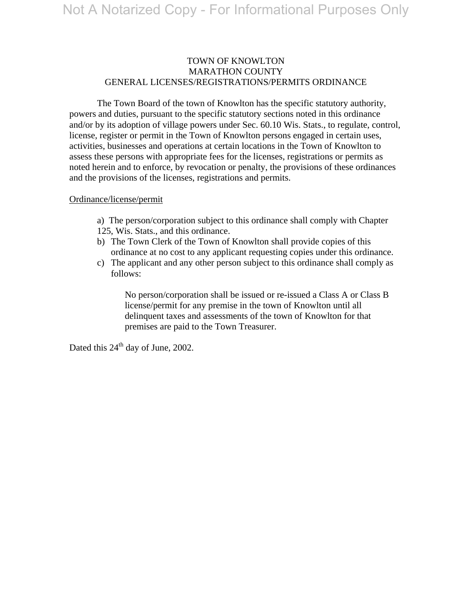## TOWN OF KNOWLTON MARATHON COUNTY GENERAL LICENSES/REGISTRATIONS/PERMITS ORDINANCE

 The Town Board of the town of Knowlton has the specific statutory authority, powers and duties, pursuant to the specific statutory sections noted in this ordinance and/or by its adoption of village powers under Sec. 60.10 Wis. Stats., to regulate, control, license, register or permit in the Town of Knowlton persons engaged in certain uses, activities, businesses and operations at certain locations in the Town of Knowlton to assess these persons with appropriate fees for the licenses, registrations or permits as noted herein and to enforce, by revocation or penalty, the provisions of these ordinances and the provisions of the licenses, registrations and permits.

#### Ordinance/license/permit

- a) The person/corporation subject to this ordinance shall comply with Chapter 125, Wis. Stats., and this ordinance.
- b) The Town Clerk of the Town of Knowlton shall provide copies of this ordinance at no cost to any applicant requesting copies under this ordinance.
- c) The applicant and any other person subject to this ordinance shall comply as follows:

No person/corporation shall be issued or re-issued a Class A or Class B license/permit for any premise in the town of Knowlton until all delinquent taxes and assessments of the town of Knowlton for that premises are paid to the Town Treasurer.

Dated this  $24<sup>th</sup>$  day of June, 2002.